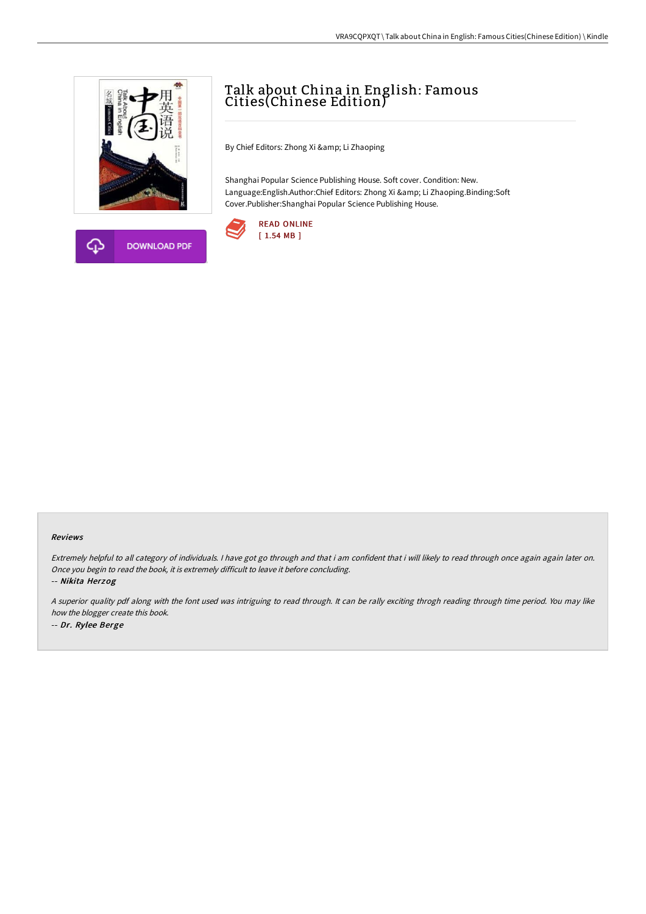



# Talk about China in English: Famous Cities(Chinese Edition)

By Chief Editors: Zhong Xi & amp; Li Zhaoping

Shanghai Popular Science Publishing House. Soft cover. Condition: New. Language:English.Author:Chief Editors: Zhong Xi & amp; Li Zhaoping.Binding:Soft Cover.Publisher:Shanghai Popular Science Publishing House.



#### Reviews

Extremely helpful to all category of individuals. I have got go through and that i am confident that i will likely to read through once again again later on. Once you begin to read the book, it is extremely difficult to leave it before concluding.

-- Nikita Herzog

<sup>A</sup> superior quality pdf along with the font used was intriguing to read through. It can be rally exciting throgh reading through time period. You may like how the blogger create this book. -- Dr. Rylee Berge